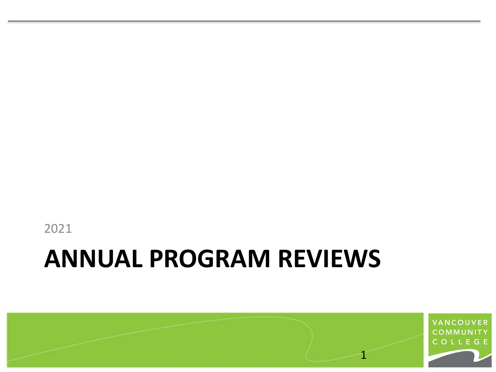

#### **ANNUAL PROGRAM REVIEWS**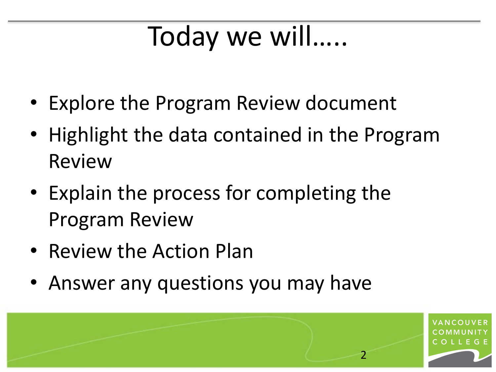## Today we will…..

- Explore the Program Review document
- Highlight the data contained in the Program Review
- Explain the process for completing the Program Review
- Review the Action Plan
- Answer any questions you may have

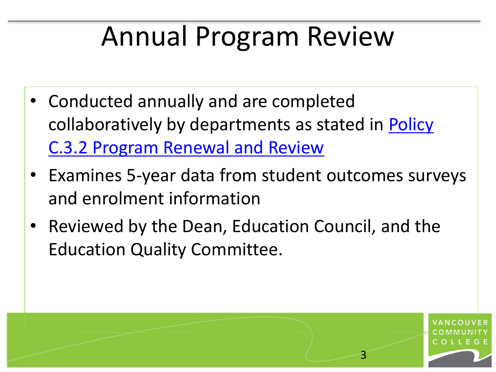# Annual Program Review

- Conducted annually and are completed [collaboratively by departments as stated in Policy](https://www.vcc.ca/media/vancouver-community-college/content-assets/documents/policies/c-3-2-program-review-renewal-policy-2019-11-27.pdf)  C.3.2 Program Renewal and Review
- Examines 5-year data from student outcomes surveys and enrolment information

3

Reviewed by the Dean, Education Council, and the Education Quality Committee.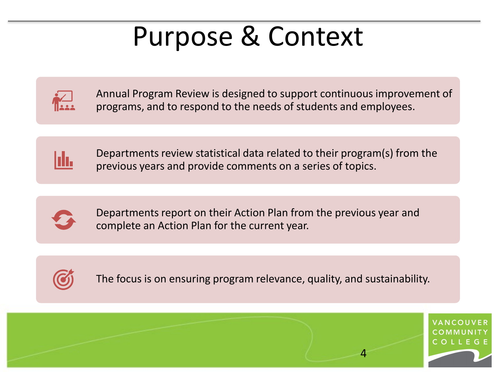#### Purpose & Context

Annual Program Review is designed to support continuous improvement of programs, and to respond to the needs of students and employees.



Departments review statistical data related to their program(s) from the previous years and provide comments on a series of topics.



Departments report on their Action Plan from the previous year and complete an Action Plan for the current year.



The focus is on ensuring program relevance, quality, and sustainability.

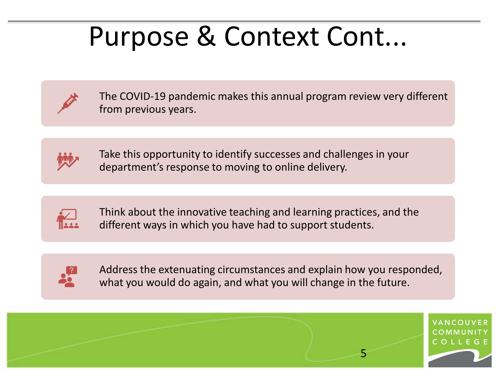#### Purpose & Context Cont...



The COVID-19 pandemic makes this annual program review very different from previous years.



Take this opportunity to identify successes and challenges in your department's response to moving to online delivery.



Think about the innovative teaching and learning practices, and the different ways in which you have had to support students.



Address the extenuating circumstances and explain how you responded, what you would do again, and what you will change in the future.

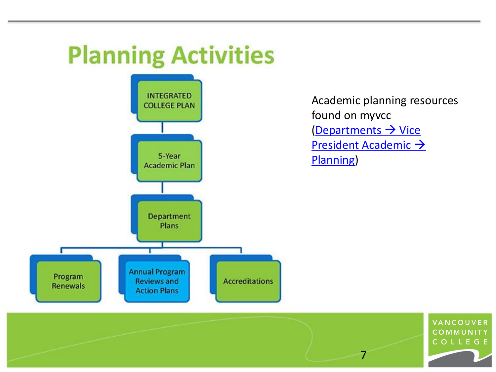#### **Planning Activities**



Academic planning resources found on myvcc  $\frac{1}{2}$  Departments  $\rightarrow$  Vice [President Academic](https://employee.vcc.ca/departments/administration/vice-president-academic/planning/) > Planning)

7

VANCOUVER COMMUNITY COLLEGE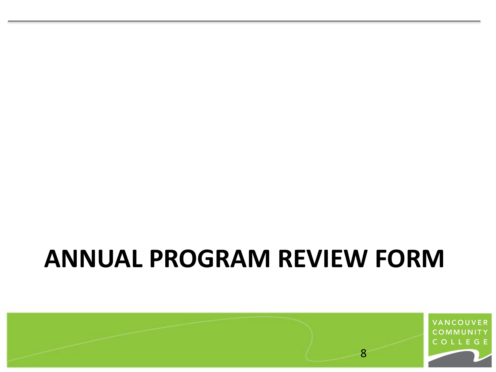#### **ANNUAL PROGRAM REVIEW FORM**

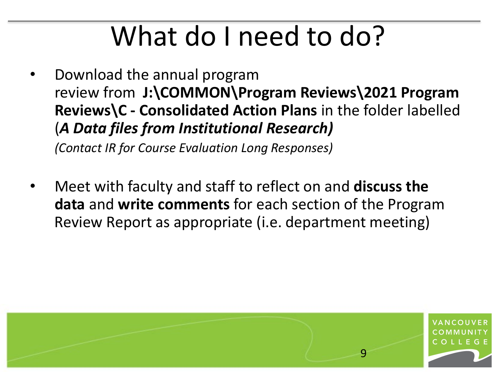• Download the annual program review from **J:\COMMON\Program Reviews\2021 Program Reviews\C - Consolidated Action Plans** in the folder labelled (*A Data files from Institutional Research)*

*(Contact IR for Course Evaluation Long Responses)*

• Meet with faculty and staff to reflect on and **discuss the data** and **write comments** for each section of the Program Review Report as appropriate (i.e. department meeting)

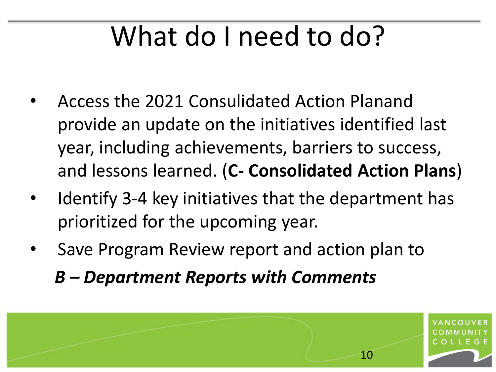- Access the 2021 Consulidated Action Planand provide an update on the initiatives identified last year, including achievements, barriers to success, and lessons learned. (**C- Consolidated Action Plans**)
- Identify 3-4 key initiatives that the department has prioritized for the upcoming year.
- Save Program Review report and action plan to

*B – Department Reports with Comments*

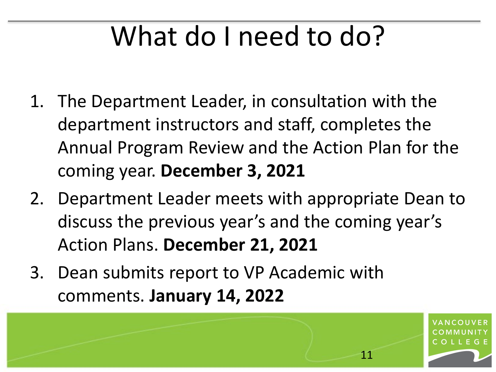- 1. The Department Leader, in consultation with the department instructors and staff, completes the Annual Program Review and the Action Plan for the coming year. **December 3, 2021**
- 2. Department Leader meets with appropriate Dean to discuss the previous year's and the coming year's Action Plans. **December 21, 2021**
- 3. Dean submits report to VP Academic with comments. **January 14, 2022**

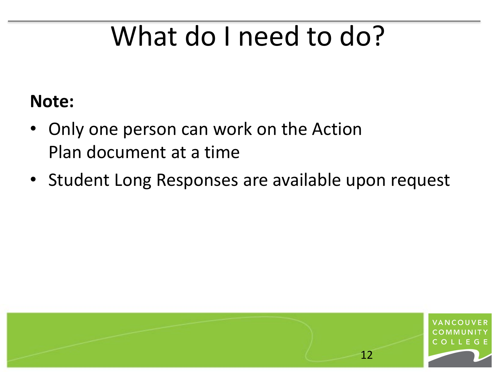#### **Note:**

- Only one person can work on the Action Plan document at a time
- Student Long Responses are available upon request

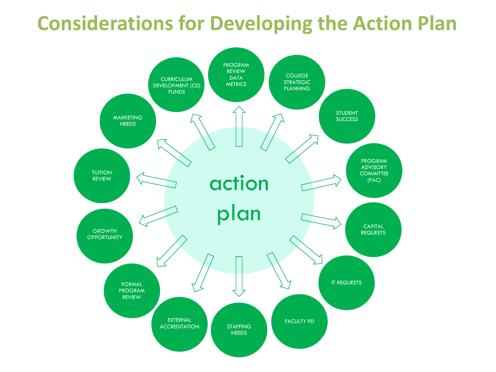#### **Considerations for Developing the Action Plan**